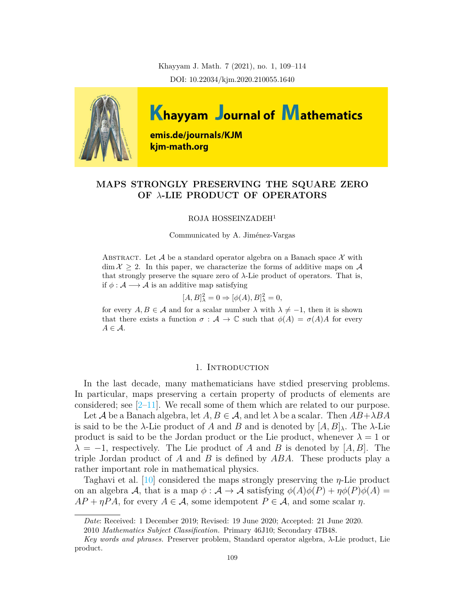Khayyam J. Math. 7 (2021), no. 1, 109–114 DOI: 10.22034/kjm.2020.210055.1640



# **MAPS STRONGLY PRESERVING THE SQUARE ZERO OF** *λ***-LIE PRODUCT OF OPERATORS**

#### ROJA HOSSEINZADEH<sup>1</sup>

Communicated by A. Jiménez-Vargas

ABSTRACT. Let  $A$  be a standard operator algebra on a Banach space  $X$  with  $\dim \mathcal{X} \geq 2$ . In this paper, we characterize the forms of additive maps on A that strongly preserve the square zero of *λ*-Lie product of operators. That is, if *ϕ* : *A −→ A* is an additive map satisfying

$$
[A, B]_\lambda^2 = 0 \Rightarrow [\phi(A), B]_\lambda^2 = 0,
$$

for every  $A, B \in \mathcal{A}$  and for a scalar number  $\lambda$  with  $\lambda \neq -1$ , then it is shown that there exists a function  $\sigma : A \to \mathbb{C}$  such that  $\phi(A) = \sigma(A)A$  for every *A ∈ A*.

### 1. INTRODUCTION

In the last decade, many mathematicians have stdied preserving problems. In particular, maps preserving a certain property of products of elements are considered; see  $[2-11]$  $[2-11]$  $[2-11]$ . We recall some of them which are related to our purpose.

Let *A* be a Banach algebra, let  $A, B \in \mathcal{A}$ , and let  $\lambda$  be a scalar. Then  $AB + \lambda BA$ is said to be the *λ*-Lie product of *A* and *B* and is denoted by  $[A, B]_\lambda$ . The *λ*-Lie product is said to be the Jordan product or the Lie product, whenever  $\lambda = 1$  or  $\lambda = -1$ , respectively. The Lie product of *A* and *B* is denoted by [*A, B*]. The triple Jordan product of *A* and *B* is defined by *ABA*. These products play a rather important role in mathematical physics.

Taghavi et al. [[10](#page-5-2)] considered the maps strongly preserving the *η*-Lie product on an algebra *A*, that is a map  $\phi : \mathcal{A} \to \mathcal{A}$  satisfying  $\phi(A)\phi(P) + \eta\phi(P)\phi(A) =$  $AP + \eta PA$ , for every  $A \in \mathcal{A}$ , some idempotent  $P \in \mathcal{A}$ , and some scalar  $\eta$ .

*Date*: Received: 1 December 2019; Revised: 19 June 2020; Accepted: 21 June 2020.

<sup>2010</sup> *Mathematics Subject Classification.* Primary 46J10; Secondary 47B48.

*Key words and phrases.* Preserver problem, Standard operator algebra, *λ*-Lie product, Lie product.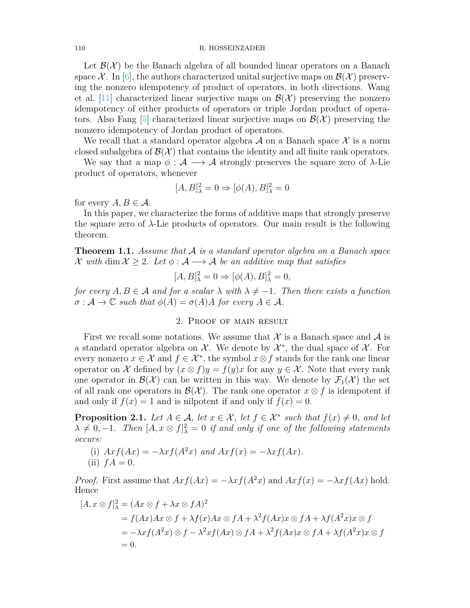#### 110 R. HOSSEINZADEH

Let  $\mathcal{B}(\mathcal{X})$  be the Banach algebra of all bounded linear operators on a Banach space  $\mathcal{X}$ . In [[6](#page-5-3)], the authors characterized unital surjective maps on  $\mathcal{B}(\mathcal{X})$  preserving the nonzero idempotency of product of operators, in both directions. Wang et al.  $[11]$  $[11]$  characterized linear surjective maps on  $\mathcal{B}(\mathcal{X})$  preserving the nonzero idempotency of either products of operators or triple Jordan product of opera-tors. Also Fang [\[5](#page-5-4)] characterized linear surjective maps on  $\mathcal{B}(\mathcal{X})$  preserving the nonzero idempotency of Jordan product of operators.

We recall that a standard operator algebra *A* on a Banach space *X* is a norm closed subalgebra of  $\mathcal{B}(\mathcal{X})$  that contains the identity and all finite rank operators.

We say that a map  $\phi : A \longrightarrow A$  strongly preserves the square zero of  $\lambda$ -Lie product of operators, whenever

$$
[A, B]_\lambda^2 = 0 \Rightarrow [\phi(A), B]_\lambda^2 = 0
$$

for every  $A, B \in \mathcal{A}$ .

In this paper, we characterize the forms of additive maps that strongly preserve the square zero of *λ*-Lie products of operators. Our main result is the following theorem.

<span id="page-1-1"></span>**Theorem 1.1.** *Assume that A is a standard operator algebra on a Banach space X* with dim  $X \geq 2$ *. Let*  $\phi : A \longrightarrow A$  *be an additive map that satisfies* 

$$
[A, B]_\lambda^2 = 0 \Rightarrow [\phi(A), B]_\lambda^2 = 0,
$$

*for every*  $A, B \in \mathcal{A}$  *and for a scalar*  $\lambda$  *with*  $\lambda \neq -1$ *. Then there exists a function*  $\sigma : A \to \mathbb{C}$  *such that*  $\phi(A) = \sigma(A)A$  *for every*  $A \in \mathcal{A}$ *.* 

## 2. Proof of main result

First we recall some notations. We assume that  $\mathcal X$  is a Banach space and  $\mathcal A$  is a standard operator algebra on  $\mathcal{X}$ . We denote by  $\mathcal{X}^*$ , the dual space of  $\mathcal{X}$ . For every nonzero  $x \in \mathcal{X}$  and  $f \in \mathcal{X}^*$ , the symbol  $x \otimes f$  stands for the rank one linear operator on *X* defined by  $(x \otimes f)y = f(y)x$  for any  $y \in \mathcal{X}$ . Note that every rank one operator in  $\mathcal{B}(\mathcal{X})$  can be written in this way. We denote by  $\mathcal{F}_1(\mathcal{X})$  the set of all rank one operators in  $\mathcal{B}(\mathcal{X})$ . The rank one operator  $x \otimes f$  is idempotent if and only if  $f(x) = 1$  and is nilpotent if and only if  $f(x) = 0$ .

<span id="page-1-0"></span>**Proposition 2.1.** *Let*  $A \in \mathcal{A}$ *, let*  $x \in \mathcal{X}$ *, let*  $f \in \mathcal{X}^*$  *such that*  $f(x) \neq 0$ *, and let*  $\lambda \neq 0, -1$ . Then  $[A, x \otimes f]_{\lambda}^2 = 0$  *if and only if one of the following statements occurs:*

(i)  $Axf(Ax) = -\lambda xf(A^2x)$  and  $Axf(x) = -\lambda xf(Ax)$ .  $(ii)$   $fA = 0.$ 

*Proof.* First assume that  $Axf(Ax) = -\lambda xf(A^2x)$  and  $Axf(x) = -\lambda xf(Ax)$  hold. Hence

$$
[A, x \otimes f]_{\lambda}^{2} = (Ax \otimes f + \lambda x \otimes fA)^{2}
$$
  
=  $f(Ax)Ax \otimes f + \lambda f(x)Ax \otimes fA + \lambda^{2} f(Ax)x \otimes fA + \lambda f(A^{2}x)x \otimes f$   
=  $-\lambda xf(A^{2}x) \otimes f - \lambda^{2}xf(Ax) \otimes fA + \lambda^{2}f(Ax)x \otimes fA + \lambda f(A^{2}x)x \otimes f$   
= 0.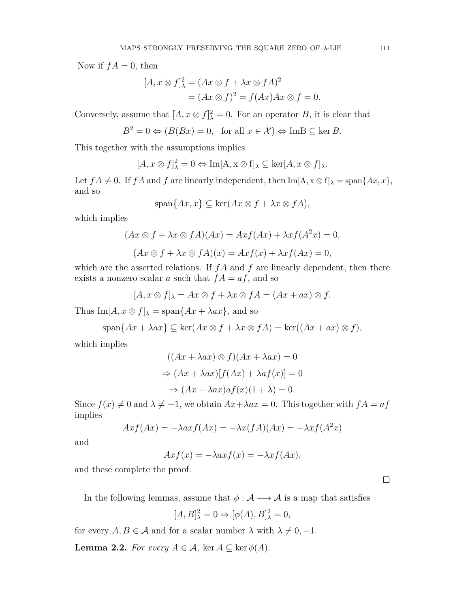Now if  $fA = 0$ , then

$$
[A, x \otimes f]_{\lambda}^{2} = (Ax \otimes f + \lambda x \otimes fA)^{2}
$$
  
=  $(Ax \otimes f)^{2} = f(Ax)Ax \otimes f = 0.$ 

Conversely, assume that  $[A, x \otimes f]_{\lambda}^2 = 0$ . For an operator *B*, it is clear that

$$
B^2 = 0 \Leftrightarrow (B(Bx) = 0, \text{ for all } x \in \mathcal{X}) \Leftrightarrow \text{Im}B \subseteq \ker B.
$$

This together with the assumptions implies

$$
[A, x \otimes f]_\lambda^2 = 0 \Leftrightarrow \operatorname{Im}[A, x \otimes f]_\lambda \subseteq \ker[A, x \otimes f]_\lambda.
$$

Let  $fA \neq 0$ . If  $fA$  and  $f$  are linearly independent, then Im[A,  $x \otimes f$ ] $\lambda = \text{span}\{Ax, x\}$ , and so

 $\text{span}\{Ax, x\} \subseteq \text{ker}(Ax \otimes f + \lambda x \otimes fA),$ 

which implies

$$
(Ax \otimes f + \lambda x \otimes fA)(Ax) = Ax f(Ax) + \lambda x f(A^2x) = 0,
$$
  

$$
(Ax \otimes f + \lambda x \otimes fA)(x) = Ax f(x) + \lambda x f(Ax) = 0,
$$

which are the asserted relations. If  $fA$  and  $f$  are linearly dependent, then there exists a nonzero scalar *a* such that  $fA = af$ , and so

$$
[A, x \otimes f]_{\lambda} = Ax \otimes f + \lambda x \otimes fA = (Ax + ax) \otimes f.
$$

Thus  $\text{Im}[A, x \otimes f]_{\lambda} = \text{span}\{Ax + \lambda ax\}$ , and so

$$
\text{span}\{Ax + \lambda ax\} \subseteq \text{ker}(Ax \otimes f + \lambda x \otimes fA) = \text{ker}((Ax + ax) \otimes f),
$$

which implies

$$
((Ax + \lambda ax) \otimes f)(Ax + \lambda ax) = 0
$$
  
\n
$$
\Rightarrow (Ax + \lambda ax)[f(Ax) + \lambda af(x)] = 0
$$
  
\n
$$
\Rightarrow (Ax + \lambda ax)af(x)(1 + \lambda) = 0.
$$

Since  $f(x) \neq 0$  and  $\lambda \neq -1$ , we obtain  $Ax + \lambda ax = 0$ . This together with  $fA = af$ implies

$$
Axf(Ax) = -\lambda axf(Ax) = -\lambda x(fA)(Ax) = -\lambda xf(A^{2}x)
$$

and

$$
Axf(x) = -\lambda axf(x) = -\lambda xf(Ax),
$$

and these complete the proof.

In the following lemmas, assume that  $\phi : A \longrightarrow A$  is a map that satisfies

$$
[A, B]_\lambda^2 = 0 \Rightarrow [\phi(A), B]_\lambda^2 = 0,
$$

for every  $A, B \in \mathcal{A}$  and for a scalar number  $\lambda$  with  $\lambda \neq 0, -1$ .

<span id="page-2-0"></span>**Lemma 2.2.** *For every*  $A \in \mathcal{A}$ , ker  $A \subseteq \text{ker } \phi(A)$ .

□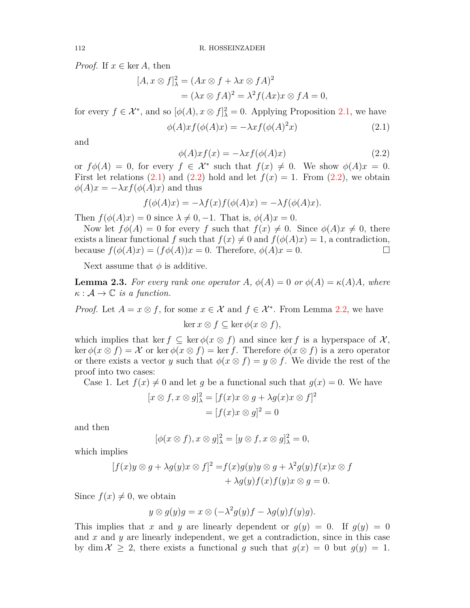*Proof.* If  $x \in \text{ker } A$ , then

$$
[A, x \otimes f]_{\lambda}^{2} = (Ax \otimes f + \lambda x \otimes fA)^{2}
$$
  
=  $(\lambda x \otimes fA)^{2} = \lambda^{2} f(Ax)x \otimes fA = 0,$ 

for every  $f \in \mathcal{X}^*$ , and so  $[\phi(A), x \otimes f]_{\lambda}^2 = 0$ . Applying Proposition [2.1,](#page-1-0) we have

<span id="page-3-0"></span>
$$
\phi(A)x f(\phi(A)x) = -\lambda x f(\phi(A)^2 x)
$$
\n(2.1)

and

<span id="page-3-1"></span>
$$
\phi(A)x f(x) = -\lambda x f(\phi(A)x) \tag{2.2}
$$

or  $f\phi(A) = 0$ , for every  $f \in \mathcal{X}^*$  such that  $f(x) \neq 0$ . We show  $\phi(A)x = 0$ . First let relations  $(2.1)$  $(2.1)$  and  $(2.2)$  $(2.2)$  hold and let  $f(x) = 1$ . From  $(2.2)$ , we obtain  $\phi(A)x = -\lambda x f(\phi(A)x)$  and thus

$$
f(\phi(A)x) = -\lambda f(x)f(\phi(A)x) = -\lambda f(\phi(A)x).
$$

Then  $f(\phi(A)x) = 0$  since  $\lambda \neq 0, -1$ . That is,  $\phi(A)x = 0$ .

Now let  $f\phi(A) = 0$  for every *f* such that  $f(x) \neq 0$ . Since  $\phi(A)x \neq 0$ , there exists a linear functional f such that  $f(x) \neq 0$  and  $f(\phi(A)x) = 1$ , a contradiction, because  $f(\phi(A)x) = (f\phi(A))x = 0$ . Therefore,  $\phi(A)x = 0$ .

Next assume that  $\phi$  is additive.

<span id="page-3-2"></span>**Lemma 2.3.** For every rank one operator A,  $\phi(A) = 0$  or  $\phi(A) = \kappa(A)A$ , where  $\kappa : \mathcal{A} \to \mathbb{C}$  *is a function.* 

*Proof.* Let  $A = x \otimes f$ , for some  $x \in \mathcal{X}$  and  $f \in \mathcal{X}^*$ . From Lemma [2.2,](#page-2-0) we have

ker *x ⊗ f ⊆* ker *ϕ*(*x ⊗ f*)*,*

which implies that ker  $f \subseteq \text{ker } \phi(x \otimes f)$  and since ker *f* is a hyperspace of X,  $\ker \phi(x \otimes f) = \mathcal{X}$  or  $\ker \phi(x \otimes f) = \ker f$ . Therefore  $\phi(x \otimes f)$  is a zero operator or there exists a vector *y* such that  $\phi(x \otimes f) = y \otimes f$ . We divide the rest of the proof into two cases:

Case 1. Let  $f(x) \neq 0$  and let *q* be a functional such that  $g(x) = 0$ . We have

$$
[x \otimes f, x \otimes g]_{\lambda}^{2} = [f(x)x \otimes g + \lambda g(x)x \otimes f]^{2}
$$

$$
= [f(x)x \otimes g]^{2} = 0
$$

and then

$$
[\phi(x \otimes f), x \otimes g]_{\lambda}^{2} = [y \otimes f, x \otimes g]_{\lambda}^{2} = 0,
$$

which implies

$$
[f(x)y \otimes g + \lambda g(y)x \otimes f]^2 = f(x)g(y)y \otimes g + \lambda^2 g(y)f(x)x \otimes f
$$
  
+ 
$$
\lambda g(y)f(x)f(y)x \otimes g = 0.
$$

Since  $f(x) \neq 0$ , we obtain

$$
y \otimes g(y)g = x \otimes (-\lambda^2 g(y)f - \lambda g(y)f(y)g).
$$

This implies that *x* and *y* are linearly dependent or  $g(y) = 0$ . If  $g(y) = 0$ and *x* and *y* are linearly independent, we get a contradiction, since in this case by dim  $\mathcal{X} \geq 2$ , there exists a functional g such that  $g(x) = 0$  but  $g(y) = 1$ .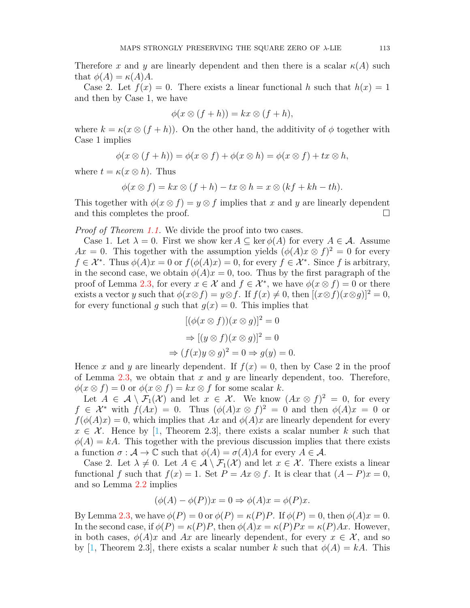Therefore x and y are linearly dependent and then there is a scalar  $\kappa(A)$  such that  $\phi(A) = \kappa(A)A$ .

Case 2. Let  $f(x) = 0$ . There exists a linear functional h such that  $h(x) = 1$ and then by Case 1, we have

$$
\phi(x \otimes (f+h)) = kx \otimes (f+h),
$$

where  $k = \kappa(x \otimes (f + h))$ . On the other hand, the additivity of  $\phi$  together with Case 1 implies

$$
\phi(x \otimes (f+h)) = \phi(x \otimes f) + \phi(x \otimes h) = \phi(x \otimes f) + tx \otimes h,
$$

where  $t = \kappa(x \otimes h)$ . Thus

$$
\phi(x \otimes f) = kx \otimes (f + h) - tx \otimes h = x \otimes (kf + kh - th).
$$

This together with  $\phi(x \otimes f) = y \otimes f$  implies that *x* and *y* are linearly dependent and this completes the proof.  $\Box$ 

*Proof of Theorem [1.1](#page-1-1).* We divide the proof into two cases.

Case 1. Let  $\lambda = 0$ . First we show ker  $A \subseteq \text{ker } \phi(A)$  for every  $A \in \mathcal{A}$ . Assume *Ax* = 0. This together with the assumption yields  $(\phi(A)x \otimes f)^2 = 0$  for every  $f \in \mathcal{X}^*$ . Thus  $\phi(A)x = 0$  or  $f(\phi(A)x) = 0$ , for every  $f \in \mathcal{X}^*$ . Since f is arbitrary, in the second case, we obtain  $\phi(A)x=0$ , too. Thus by the first paragraph of the proof of Lemma [2.3](#page-3-2), for every  $x \in \mathcal{X}$  and  $f \in \mathcal{X}^*$ , we have  $\phi(x \otimes f) = 0$  or there exists a vector *y* such that  $\phi(x \otimes f) = y \otimes f$ . If  $f(x) \neq 0$ , then  $[(x \otimes f)(x \otimes g)]^2 = 0$ , for every functional *q* such that  $q(x) = 0$ . This implies that

$$
[(\phi(x \otimes f))(x \otimes g)]^2 = 0
$$
  
\n
$$
\Rightarrow [(y \otimes f)(x \otimes g)]^2 = 0
$$
  
\n
$$
\Rightarrow (f(x)y \otimes g)^2 = 0 \Rightarrow g(y) = 0.
$$

Hence *x* and *y* are linearly dependent. If  $f(x) = 0$ , then by Case 2 in the proof of Lemma [2.3,](#page-3-2) we obtain that *x* and *y* are linearly dependent, too. Therefore,  $\phi(x \otimes f) = 0$  or  $\phi(x \otimes f) = kx \otimes f$  for some scalar *k*.

Let  $A \in \mathcal{A} \setminus \mathcal{F}_1(\mathcal{X})$  and let  $x \in \mathcal{X}$ . We know  $(Ax \otimes f)^2 = 0$ , for every  $f \in \mathcal{X}^*$  with  $f(Ax) = 0$ . Thus  $(\phi(A)x \otimes f)^2 = 0$  and then  $\phi(A)x = 0$  or  $f(\phi(A)x) = 0$ , which implies that *Ax* and  $\phi(A)x$  are linearly dependent for every  $x \in \mathcal{X}$ . Hence by [[1,](#page-5-5) Theorem 2.3], there exists a scalar number k such that  $\phi(A) = kA$ . This together with the previous discussion implies that there exists a function  $\sigma : \mathcal{A} \to \mathbb{C}$  such that  $\phi(A) = \sigma(A)A$  for every  $A \in \mathcal{A}$ .

Case 2. Let  $\lambda \neq 0$ . Let  $A \in \mathcal{A} \setminus \mathcal{F}_1(\mathcal{X})$  and let  $x \in \mathcal{X}$ . There exists a linear functional *f* such that  $f(x) = 1$ . Set  $P = Ax \otimes f$ . It is clear that  $(A - P)x = 0$ , and so Lemma [2.2](#page-2-0) implies

$$
(\phi(A) - \phi(P))x = 0 \Rightarrow \phi(A)x = \phi(P)x.
$$

By Lemma [2.3,](#page-3-2) we have  $\phi(P) = 0$  or  $\phi(P) = \kappa(P)P$ . If  $\phi(P) = 0$ , then  $\phi(A)x = 0$ . In the second case, if  $\phi(P) = \kappa(P)P$ , then  $\phi(A)x = \kappa(P)Px = \kappa(P)Ax$ . However, in both cases,  $\phi(A)x$  and Ax are linearly dependent, for every  $x \in \mathcal{X}$ , and so by [\[1,](#page-5-5) Theorem 2.3], there exists a scalar number k such that  $\phi(A) = kA$ . This